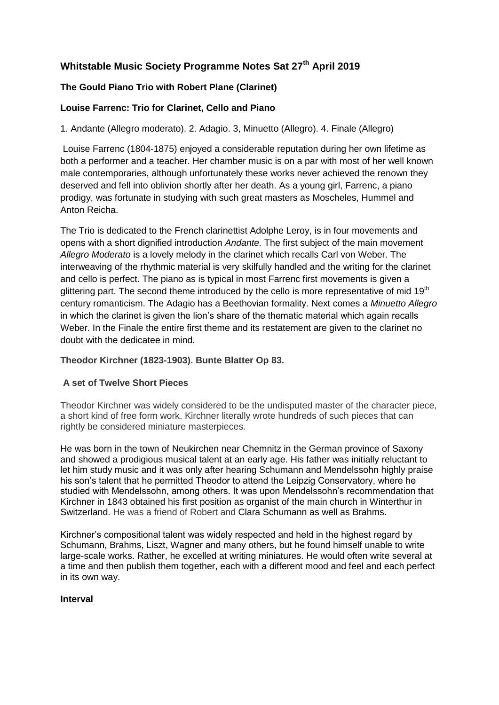# **Whitstable Music Society Programme Notes Sat 27th April 2019**

# **The Gould Piano Trio with Robert Plane (Clarinet)**

# **Louise Farrenc: Trio for Clarinet, Cello and Piano**

1. Andante (Allegro moderato). 2. Adagio. 3, Minuetto (Allegro). 4. Finale (Allegro)

Louise Farrenc (1804-1875) enjoyed a considerable reputation during her own lifetime as both a performer and a teacher. Her chamber music is on a par with most of her well known male contemporaries, although unfortunately these works never achieved the renown they deserved and fell into oblivion shortly after her death. As a young girl, Farrenc, a piano prodigy, was fortunate in studying with such great masters as Moscheles, Hummel and Anton Reicha.

The Trio is dedicated to the French clarinettist Adolphe Leroy, is in four movements and opens with a short dignified introduction *Andante.* The first subject of the main movement *Allegro Moderato* is a lovely melody in the clarinet which recalls Carl von Weber. The interweaving of the rhythmic material is very skilfully handled and the writing for the clarinet and cello is perfect. The piano as is typical in most Farrenc first movements is given a glittering part. The second theme introduced by the cello is more representative of mid 19<sup>th</sup> century romanticism. The Adagio has a Beethovian formality. Next comes a *Minuetto Allegro* in which the clarinet is given the lion's share of the thematic material which again recalls Weber. In the Finale the entire first theme and its restatement are given to the clarinet no doubt with the dedicatee in mind.

# **Theodor Kirchner (1823-1903). Bunte Blatter Op 83.**

# **A set of Twelve Short Pieces**

Theodor Kirchner was widely considered to be the undisputed master of the character piece, a short kind of free form work. Kirchner literally wrote hundreds of such pieces that can rightly be considered miniature masterpieces.

He was born in the town of Neukirchen near Chemnitz in the German province of Saxony and showed a prodigious musical talent at an early age. His father was initially reluctant to let him study music and it was only after hearing [Schumann](https://www.earsense.org/chamberbase/works/?cid=16) and [Mendelssohn](https://www.earsense.org/chamberbase/works/?cid=15) highly praise his son's talent that he permitted Theodor to attend the Leipzig Conservatory, where he studied with Mendelssohn, among others. It was upon Mendelssohn's recommendation that Kirchner in 1843 obtained his first position as organist of the main church in Winterthur in Switzerland. He was a friend of Robert and Clara [Schumann](https://www.earsense.org/chamberbase/works/?cid=66) as well as [Brahms.](https://www.earsense.org/chamberbase/works/?cid=6)

Kirchner's compositional talent was widely respected and held in the highest regard by Schumann, Brahms, [Liszt,](https://www.earsense.org/chamberbase/works/?cid=305) Wagner and many others, but he found himself unable to write large-scale works. Rather, he excelled at writing miniatures. He would often write several at a time and then publish them together, each with a different mood and feel and each perfect in its own way.

# **Interval**